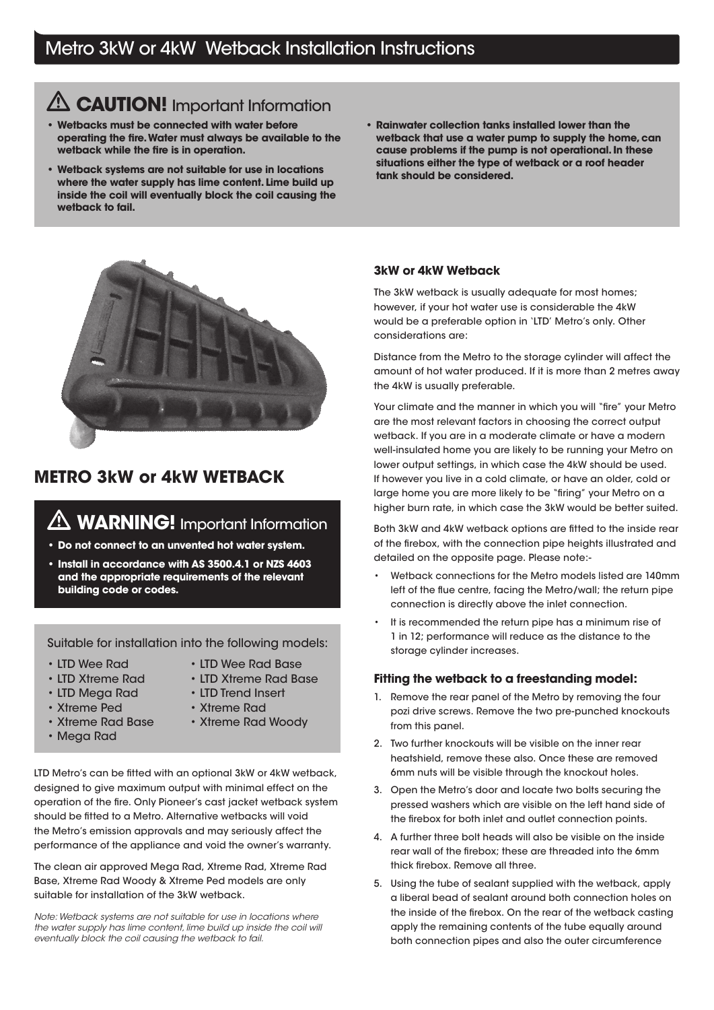## Metro 3kW or 4kW Wetback Installation Instructions

## **ALCAUTION!** Important Information

- Wetbacks must be connected with water before operating the fire. Water must always be available to the wetback while the fire is in operation.
- Wetback systems are not suitable for use in locations where the water supply has lime content. Lime build up inside the coil will eventually block the coil causing the wetback to fail.
- Rainwater collection tanks installed lower than the wetback that use a water pump to supply the home, can cause problems if the pump is not operational. In these situations either the type of wetback or a roof header tank should be considered.



### METRO 3kW or 4kW WETBACK

# **AN WARNING!** Important Information

- Do not connect to an unvented hot water system.
- Install in accordance with AS 3500.4.1 or NZS 4603 and the appropriate requirements of the relevant building code or codes.

Suitable for installation into the following models:

- 
- 
- LTD Wee Rad LTD Wee Rad Base
- LTD Xtreme Rad LTD Xtreme Rad Base
- LTD Mega Rad LTD Trend Insert
- Xtreme Ped Xtreme Rad
- 
- Mega Rad
- Xtreme Rad Base Xtreme Rad Woody

LTD Metro's can be fitted with an optional 3kW or 4kW wetback, designed to give maximum output with minimal effect on the operation of the fire. Only Pioneer's cast jacket wetback system should be fitted to a Metro. Alternative wetbacks will void the Metro's emission approvals and may seriously affect the performance of the appliance and void the owner's warranty.

The clean air approved Mega Rad, Xtreme Rad, Xtreme Rad Base, Xtreme Rad Woody & Xtreme Ped models are only suitable for installation of the 3kW wetback.

Note: Wetback systems are not suitable for use in locations where the water supply has lime content, lime build up inside the coil will eventually block the coil causing the wetback to fail.

#### 3kW or 4kW Wetback

The 3kW wetback is usually adequate for most homes; however, if your hot water use is considerable the 4kW would be a preferable option in 'LTD' Metro's only. Other considerations are:

Distance from the Metro to the storage cylinder will affect the amount of hot water produced. If it is more than 2 metres away the 4kW is usually preferable.

Your climate and the manner in which you will "fire" your Metro are the most relevant factors in choosing the correct output wetback. If you are in a moderate climate or have a modern well-insulated home you are likely to be running your Metro on lower output settings, in which case the 4kW should be used. If however you live in a cold climate, or have an older, cold or large home you are more likely to be "firing" your Metro on a higher burn rate, in which case the 3kW would be better suited.

Both 3kW and 4kW wetback options are fitted to the inside rear of the firebox, with the connection pipe heights illustrated and detailed on the opposite page. Please note:-

- Wetback connections for the Metro models listed are 140mm left of the flue centre, facing the Metro/wall; the return pipe connection is directly above the inlet connection.
- It is recommended the return pipe has a minimum rise of 1 in 12; performance will reduce as the distance to the storage cylinder increases.

#### Fitting the wetback to a freestanding model:

- 1. Remove the rear panel of the Metro by removing the four pozi drive screws. Remove the two pre-punched knockouts from this panel.
- 2. Two further knockouts will be visible on the inner rear heatshield, remove these also. Once these are removed 6mm nuts will be visible through the knockout holes.
- 3. Open the Metro's door and locate two bolts securing the pressed washers which are visible on the left hand side of the firebox for both inlet and outlet connection points.
- 4. A further three bolt heads will also be visible on the inside rear wall of the firebox; these are threaded into the 6mm thick firebox. Remove all three.
- 5. Using the tube of sealant supplied with the wetback, apply a liberal bead of sealant around both connection holes on the inside of the firebox. On the rear of the wetback casting apply the remaining contents of the tube equally around both connection pipes and also the outer circumference